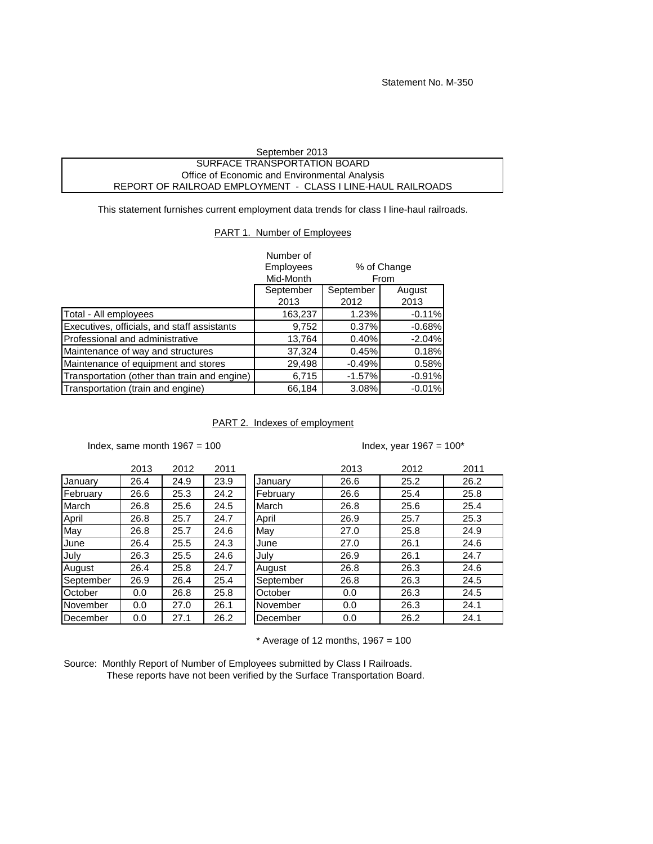| September 2013                                              |  |
|-------------------------------------------------------------|--|
| SURFACE TRANSPORTATION BOARD                                |  |
| Office of Economic and Environmental Analysis               |  |
| REPORT OF RAILROAD EMPLOYMENT - CLASS I LINE-HAUL RAILROADS |  |

This statement furnishes current employment data trends for class I line-haul railroads.

## PART 1. Number of Employees

|                                              | Number of |           |             |
|----------------------------------------------|-----------|-----------|-------------|
|                                              | Employees |           | % of Change |
|                                              | Mid-Month |           | From        |
|                                              | September | September | August      |
|                                              | 2013      | 2012      | 2013        |
| Total - All employees                        | 163,237   | 1.23%     | $-0.11%$    |
| Executives, officials, and staff assistants  | 9,752     | 0.37%     | $-0.68%$    |
| Professional and administrative              | 13,764    | 0.40%     | $-2.04%$    |
| Maintenance of way and structures            | 37,324    | 0.45%     | 0.18%       |
| Maintenance of equipment and stores          | 29,498    | $-0.49%$  | 0.58%       |
| Transportation (other than train and engine) | 6,715     | $-1.57%$  | $-0.91%$    |
| Transportation (train and engine)            | 66,184    | 3.08%     | $-0.01%$    |

## PART 2. Indexes of employment

Index, same month  $1967 = 100$ 

## Index, year  $1967 = 100^*$

|           | 2013 | 2012 | 2011 |
|-----------|------|------|------|
| January   | 26.4 | 24.9 | 23.9 |
| February  | 26.6 | 25.3 | 24.2 |
| March     | 26.8 | 25.6 | 24.5 |
| April     | 26.8 | 25.7 | 24.7 |
| May       | 26.8 | 25.7 | 24.6 |
| June      | 26.4 | 25.5 | 24.3 |
| July      | 26.3 | 25.5 | 24.6 |
| August    | 26.4 | 25.8 | 24.7 |
| September | 26.9 | 26.4 | 25.4 |
| October   | 0.0  | 26.8 | 25.8 |
| November  | 0.0  | 27.0 | 26.1 |
| December  | 0.0  | 27.1 | 26.2 |

|           | 2013 | 2012 | 2011 |           | 2013 | 2012 | 2011 |
|-----------|------|------|------|-----------|------|------|------|
| Januarv   | 26.4 | 24.9 | 23.9 | January   | 26.6 | 25.2 | 26.2 |
| February  | 26.6 | 25.3 | 24.2 | Februarv  | 26.6 | 25.4 | 25.8 |
| March     | 26.8 | 25.6 | 24.5 | March     | 26.8 | 25.6 | 25.4 |
| April     | 26.8 | 25.7 | 24.7 | April     | 26.9 | 25.7 | 25.3 |
| May       | 26.8 | 25.7 | 24.6 | May       | 27.0 | 25.8 | 24.9 |
| June      | 26.4 | 25.5 | 24.3 | June      | 27.0 | 26.1 | 24.6 |
| July      | 26.3 | 25.5 | 24.6 | July      | 26.9 | 26.1 | 24.7 |
| August    | 26.4 | 25.8 | 24.7 | August    | 26.8 | 26.3 | 24.6 |
| September | 26.9 | 26.4 | 25.4 | September | 26.8 | 26.3 | 24.5 |
| October   | 0.0  | 26.8 | 25.8 | October   | 0.0  | 26.3 | 24.5 |
| November  | 0.0  | 27.0 | 26.1 | November  | 0.0  | 26.3 | 24.1 |
| December  | 0.0  | 27.1 | 26.2 | December  | 0.0  | 26.2 | 24.1 |

 $*$  Average of 12 months, 1967 = 100

Source: Monthly Report of Number of Employees submitted by Class I Railroads. These reports have not been verified by the Surface Transportation Board.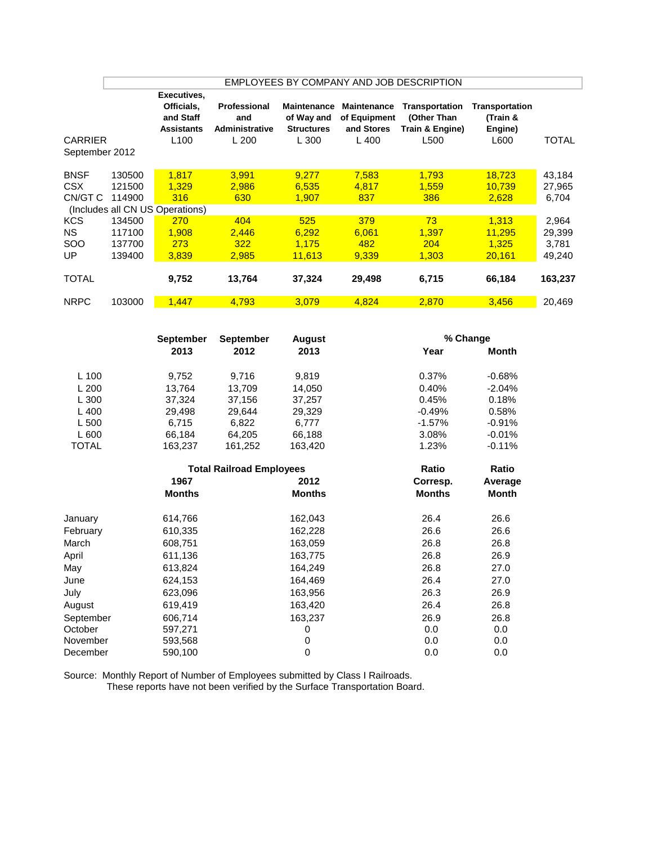|                                      | EMPLOYEES BY COMPANY AND JOB DESCRIPTION |                                                                                 |                                                      |                                                                |                                                           |                                                          |                                                      |                                    |
|--------------------------------------|------------------------------------------|---------------------------------------------------------------------------------|------------------------------------------------------|----------------------------------------------------------------|-----------------------------------------------------------|----------------------------------------------------------|------------------------------------------------------|------------------------------------|
| <b>CARRIER</b><br>September 2012     |                                          | Executives,<br>Officials,<br>and Staff<br><b>Assistants</b><br>L <sub>100</sub> | Professional<br>and<br><b>Administrative</b><br>L200 | <b>Maintenance</b><br>of Way and<br><b>Structures</b><br>L 300 | <b>Maintenance</b><br>of Equipment<br>and Stores<br>L 400 | Transportation<br>(Other Than<br>Train & Engine)<br>L500 | <b>Transportation</b><br>(Train &<br>Engine)<br>L600 | TOTAL                              |
| <b>BNSF</b><br><b>CSX</b><br>CN/GT C | 130500<br>121500<br>114900               | 1,817<br>1,329<br>316<br>(Includes all CN US Operations)                        | 3.991<br>2.986<br>630                                | 9,277<br>6,535<br>1,907                                        | 7,583<br>4,817<br>837                                     | 1,793<br>1,559<br>386                                    | 18,723<br>10,739<br>2,628                            | 43,184<br>27,965<br>6,704          |
| <b>KCS</b><br><b>NS</b><br>SOO<br>UP | 134500<br>117100<br>137700<br>139400     | 270<br>1.908<br>273<br>3,839                                                    | 404<br>2,446<br>322<br>2,985                         | 525<br>6.292<br>1.175<br>11,613                                | 379<br>6,061<br>482<br>9,339                              | 73<br>1,397<br>204<br>1,303                              | 1.313<br>11,295<br>1.325<br>20,161                   | 2,964<br>29,399<br>3,781<br>49,240 |
| <b>TOTAL</b>                         |                                          | 9,752                                                                           | 13,764                                               | 37,324                                                         | 29,498                                                    | 6,715                                                    | 66,184                                               | 163,237                            |
| <b>NRPC</b>                          | 103000                                   | 1,447                                                                           | 4,793                                                | 3,079                                                          | 4,824                                                     | 2,870                                                    | 3,456                                                | 20,469                             |

|              | <b>September</b> | <b>September</b><br><b>August</b> |               | % Change      |              |  |
|--------------|------------------|-----------------------------------|---------------|---------------|--------------|--|
|              | 2013             | 2012                              | 2013          | Year          | <b>Month</b> |  |
| $L$ 100      | 9,752            | 9,716                             | 9,819         | 0.37%         | $-0.68%$     |  |
| L200         | 13.764           | 13,709                            | 14,050        | 0.40%         | $-2.04%$     |  |
| L300         | 37,324           | 37,156                            | 37,257        | 0.45%         | 0.18%        |  |
| $L$ 400      | 29,498           | 29,644                            | 29,329        | $-0.49%$      | 0.58%        |  |
| L 500        | 6,715            | 6,822                             | 6,777         | $-1.57%$      | $-0.91%$     |  |
| L600         | 66,184           | 64,205                            | 66,188        | 3.08%         | $-0.01%$     |  |
| <b>TOTAL</b> | 163,237          | 161,252                           | 163,420       | 1.23%         | $-0.11%$     |  |
|              |                  | <b>Total Railroad Employees</b>   | Ratio         | Ratio         |              |  |
|              | 1967             |                                   | 2012          | Corresp.      | Average      |  |
|              | <b>Months</b>    |                                   | <b>Months</b> | <b>Months</b> | <b>Month</b> |  |
| January      | 614,766          |                                   | 162,043       | 26.4          | 26.6         |  |
| February     | 610,335          |                                   | 162,228       | 26.6          | 26.6         |  |
| March        | 608,751          |                                   | 163,059       | 26.8          | 26.8         |  |
| April        | 611,136          |                                   | 163,775       | 26.8          | 26.9         |  |
| May          | 613,824          |                                   | 164,249       | 26.8          | 27.0         |  |
| June         | 624,153          |                                   | 164,469       | 26.4          | 27.0         |  |
| July         | 623,096          |                                   | 163,956       | 26.3          | 26.9         |  |
| August       | 619,419          |                                   | 163,420       | 26.4          | 26.8         |  |
| September    | 606,714          |                                   | 163,237       | 26.9          | 26.8         |  |
| October      | 597,271          |                                   | 0             | 0.0           | $0.0\,$      |  |
| November     | 593,568          |                                   | 0             | 0.0           | 0.0          |  |
| December     | 590,100          |                                   | $\mathbf 0$   | 0.0           | 0.0          |  |

Source: Monthly Report of Number of Employees submitted by Class I Railroads. These reports have not been verified by the Surface Transportation Board.